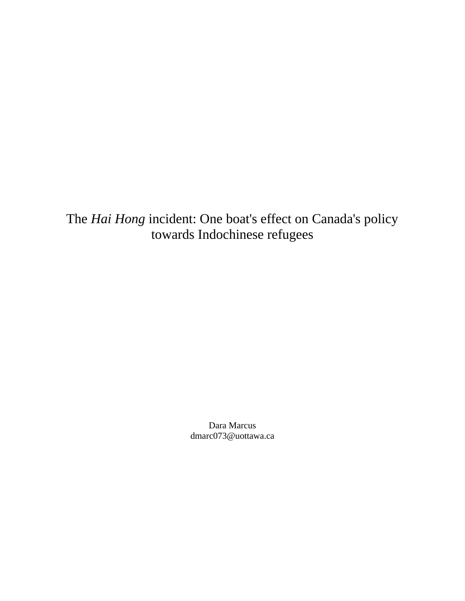The *Hai Hong* incident: One boat's effect on Canada's policy towards Indochinese refugees

> Dara Marcus dmarc073@uottawa.ca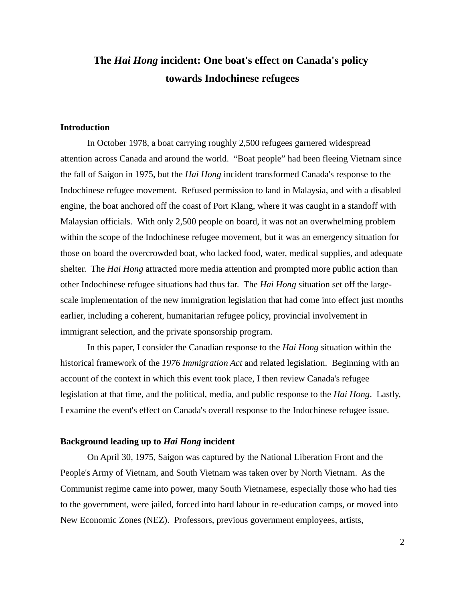# **The** *Hai Hong* **incident: One boat's effect on Canada's policy towards Indochinese refugees**

## **Introduction**

In October 1978, a boat carrying roughly 2,500 refugees garnered widespread attention across Canada and around the world. "Boat people" had been fleeing Vietnam since the fall of Saigon in 1975, but the *Hai Hong* incident transformed Canada's response to the Indochinese refugee movement. Refused permission to land in Malaysia, and with a disabled engine, the boat anchored off the coast of Port Klang, where it was caught in a standoff with Malaysian officials. With only 2,500 people on board, it was not an overwhelming problem within the scope of the Indochinese refugee movement, but it was an emergency situation for those on board the overcrowded boat, who lacked food, water, medical supplies, and adequate shelter. The *Hai Hong* attracted more media attention and prompted more public action than other Indochinese refugee situations had thus far. The *Hai Hong* situation set off the largescale implementation of the new immigration legislation that had come into effect just months earlier, including a coherent, humanitarian refugee policy, provincial involvement in immigrant selection, and the private sponsorship program.

In this paper, I consider the Canadian response to the *Hai Hong* situation within the historical framework of the *1976 Immigration Act* and related legislation. Beginning with an account of the context in which this event took place, I then review Canada's refugee legislation at that time, and the political, media, and public response to the *Hai Hong*. Lastly, I examine the event's effect on Canada's overall response to the Indochinese refugee issue.

#### **Background leading up to** *Hai Hong* **incident**

On April 30, 1975, Saigon was captured by the National Liberation Front and the People's Army of Vietnam, and South Vietnam was taken over by North Vietnam. As the Communist regime came into power, many South Vietnamese, especially those who had ties to the government, were jailed, forced into hard labour in re-education camps, or moved into New Economic Zones (NEZ). Professors, previous government employees, artists,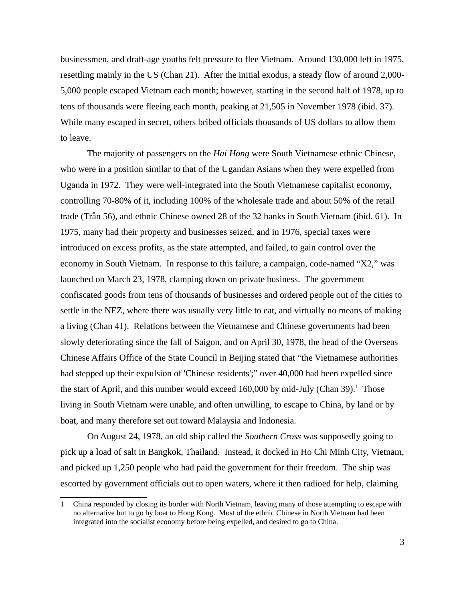businessmen, and draft-age youths felt pressure to flee Vietnam. Around 130,000 left in 1975, resettling mainly in the US (Chan 21). After the initial exodus, a steady flow of around 2,000- 5,000 people escaped Vietnam each month; however, starting in the second half of 1978, up to tens of thousands were fleeing each month, peaking at 21,505 in November 1978 (ibid. 37). While many escaped in secret, others bribed officials thousands of US dollars to allow them to leave.

The majority of passengers on the *Hai Hong* were South Vietnamese ethnic Chinese, who were in a position similar to that of the Ugandan Asians when they were expelled from Uganda in 1972. They were well-integrated into the South Vietnamese capitalist economy, controlling 70-80% of it, including 100% of the wholesale trade and about 50% of the retail trade (Tràn̂ 56), and ethnic Chinese owned 28 of the 32 banks in South Vietnam (ibid. 61). In 1975, many had their property and businesses seized, and in 1976, special taxes were introduced on excess profits, as the state attempted, and failed, to gain control over the economy in South Vietnam. In response to this failure, a campaign, code-named "X2," was launched on March 23, 1978, clamping down on private business. The government confiscated goods from tens of thousands of businesses and ordered people out of the cities to settle in the NEZ, where there was usually very little to eat, and virtually no means of making a living (Chan 41). Relations between the Vietnamese and Chinese governments had been slowly deteriorating since the fall of Saigon, and on April 30, 1978, the head of the Overseas Chinese Affairs Office of the State Council in Beijing stated that "the Vietnamese authorities had stepped up their expulsion of 'Chinese residents';" over 40,000 had been expelled since the start of April, and this number would exceed [1](#page-2-0)60,000 by mid-July (Chan 39). $^1$  Those living in South Vietnam were unable, and often unwilling, to escape to China, by land or by boat, and many therefore set out toward Malaysia and Indonesia.

On August 24, 1978, an old ship called the *Southern Cross* was supposedly going to pick up a load of salt in Bangkok, Thailand. Instead, it docked in Ho Chi Minh City, Vietnam, and picked up 1,250 people who had paid the government for their freedom. The ship was escorted by government officials out to open waters, where it then radioed for help, claiming

<span id="page-2-0"></span><sup>1</sup> China responded by closing its border with North Vietnam, leaving many of those attempting to escape with no alternative but to go by boat to Hong Kong. Most of the ethnic Chinese in North Vietnam had been integrated into the socialist economy before being expelled, and desired to go to China.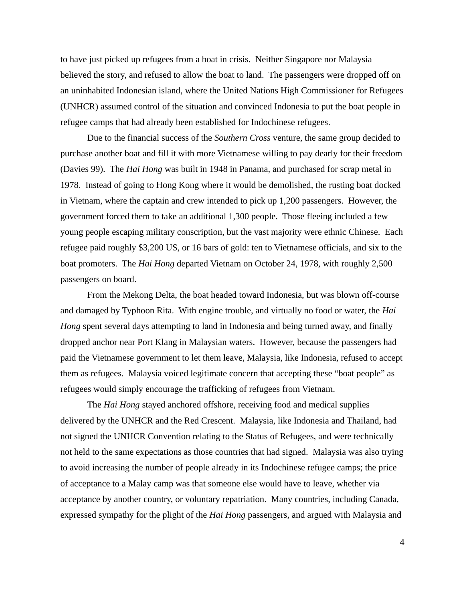to have just picked up refugees from a boat in crisis. Neither Singapore nor Malaysia believed the story, and refused to allow the boat to land. The passengers were dropped off on an uninhabited Indonesian island, where the United Nations High Commissioner for Refugees (UNHCR) assumed control of the situation and convinced Indonesia to put the boat people in refugee camps that had already been established for Indochinese refugees.

Due to the financial success of the *Southern Cross* venture, the same group decided to purchase another boat and fill it with more Vietnamese willing to pay dearly for their freedom (Davies 99). The *Hai Hong* was built in 1948 in Panama, and purchased for scrap metal in 1978. Instead of going to Hong Kong where it would be demolished, the rusting boat docked in Vietnam, where the captain and crew intended to pick up 1,200 passengers. However, the government forced them to take an additional 1,300 people. Those fleeing included a few young people escaping military conscription, but the vast majority were ethnic Chinese. Each refugee paid roughly \$3,200 US, or 16 bars of gold: ten to Vietnamese officials, and six to the boat promoters. The *Hai Hong* departed Vietnam on October 24, 1978, with roughly 2,500 passengers on board.

From the Mekong Delta, the boat headed toward Indonesia, but was blown off-course and damaged by Typhoon Rita. With engine trouble, and virtually no food or water, the *Hai Hong* spent several days attempting to land in Indonesia and being turned away, and finally dropped anchor near Port Klang in Malaysian waters. However, because the passengers had paid the Vietnamese government to let them leave, Malaysia, like Indonesia, refused to accept them as refugees. Malaysia voiced legitimate concern that accepting these "boat people" as refugees would simply encourage the trafficking of refugees from Vietnam.

The *Hai Hong* stayed anchored offshore, receiving food and medical supplies delivered by the UNHCR and the Red Crescent. Malaysia, like Indonesia and Thailand, had not signed the UNHCR Convention relating to the Status of Refugees, and were technically not held to the same expectations as those countries that had signed. Malaysia was also trying to avoid increasing the number of people already in its Indochinese refugee camps; the price of acceptance to a Malay camp was that someone else would have to leave, whether via acceptance by another country, or voluntary repatriation. Many countries, including Canada, expressed sympathy for the plight of the *Hai Hong* passengers, and argued with Malaysia and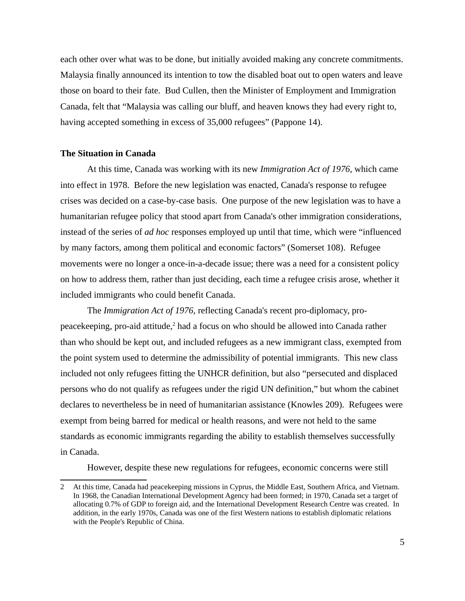each other over what was to be done, but initially avoided making any concrete commitments. Malaysia finally announced its intention to tow the disabled boat out to open waters and leave those on board to their fate. Bud Cullen, then the Minister of Employment and Immigration Canada, felt that "Malaysia was calling our bluff, and heaven knows they had every right to, having accepted something in excess of 35,000 refugees" (Pappone 14).

### **The Situation in Canada**

At this time, Canada was working with its new *Immigration Act of 1976*, which came into effect in 1978. Before the new legislation was enacted, Canada's response to refugee crises was decided on a case-by-case basis. One purpose of the new legislation was to have a humanitarian refugee policy that stood apart from Canada's other immigration considerations, instead of the series of *ad hoc* responses employed up until that time, which were "influenced by many factors, among them political and economic factors" (Somerset 108). Refugee movements were no longer a once-in-a-decade issue; there was a need for a consistent policy on how to address them, rather than just deciding, each time a refugee crisis arose, whether it included immigrants who could benefit Canada.

The *Immigration Act of 1976*, reflecting Canada's recent pro-diplomacy, pro-peacekeeping, pro-aid attitude,<sup>[2](#page-4-0)</sup> had a focus on who should be allowed into Canada rather than who should be kept out, and included refugees as a new immigrant class, exempted from the point system used to determine the admissibility of potential immigrants. This new class included not only refugees fitting the UNHCR definition, but also "persecuted and displaced persons who do not qualify as refugees under the rigid UN definition," but whom the cabinet declares to nevertheless be in need of humanitarian assistance (Knowles 209). Refugees were exempt from being barred for medical or health reasons, and were not held to the same standards as economic immigrants regarding the ability to establish themselves successfully in Canada.

However, despite these new regulations for refugees, economic concerns were still

<span id="page-4-0"></span><sup>2</sup> At this time, Canada had peacekeeping missions in Cyprus, the Middle East, Southern Africa, and Vietnam. In 1968, the Canadian International Development Agency had been formed; in 1970, Canada set a target of allocating 0.7% of GDP to foreign aid, and the International Development Research Centre was created. In addition, in the early 1970s, Canada was one of the first Western nations to establish diplomatic relations with the People's Republic of China.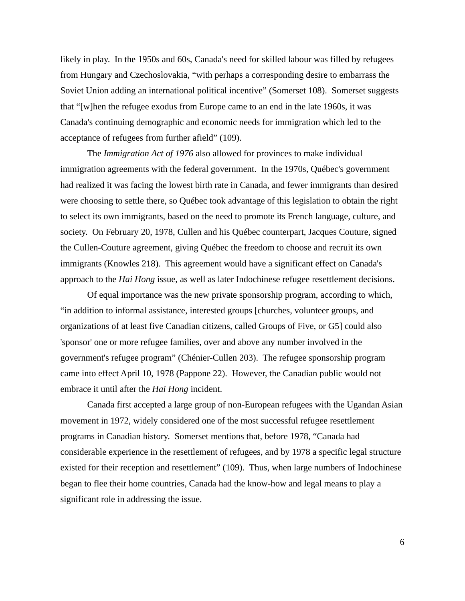likely in play. In the 1950s and 60s, Canada's need for skilled labour was filled by refugees from Hungary and Czechoslovakia, "with perhaps a corresponding desire to embarrass the Soviet Union adding an international political incentive" (Somerset 108). Somerset suggests that "[w]hen the refugee exodus from Europe came to an end in the late 1960s, it was Canada's continuing demographic and economic needs for immigration which led to the acceptance of refugees from further afield" (109).

The *Immigration Act of 1976* also allowed for provinces to make individual immigration agreements with the federal government. In the 1970s, Québec's government had realized it was facing the lowest birth rate in Canada, and fewer immigrants than desired were choosing to settle there, so Québec took advantage of this legislation to obtain the right to select its own immigrants, based on the need to promote its French language, culture, and society. On February 20, 1978, Cullen and his Québec counterpart, Jacques Couture, signed the Cullen-Couture agreement, giving Québec the freedom to choose and recruit its own immigrants (Knowles 218). This agreement would have a significant effect on Canada's approach to the *Hai Hong* issue, as well as later Indochinese refugee resettlement decisions.

Of equal importance was the new private sponsorship program, according to which, "in addition to informal assistance, interested groups [churches, volunteer groups, and organizations of at least five Canadian citizens, called Groups of Five, or G5] could also 'sponsor' one or more refugee families, over and above any number involved in the government's refugee program" (Chénier-Cullen 203). The refugee sponsorship program came into effect April 10, 1978 (Pappone 22). However, the Canadian public would not embrace it until after the *Hai Hong* incident.

Canada first accepted a large group of non-European refugees with the Ugandan Asian movement in 1972, widely considered one of the most successful refugee resettlement programs in Canadian history. Somerset mentions that, before 1978, "Canada had considerable experience in the resettlement of refugees, and by 1978 a specific legal structure existed for their reception and resettlement" (109). Thus, when large numbers of Indochinese began to flee their home countries, Canada had the know-how and legal means to play a significant role in addressing the issue.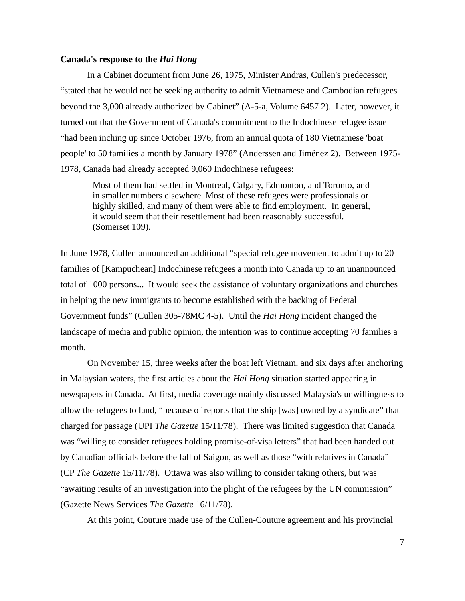#### **Canada's response to the** *Hai Hong*

In a Cabinet document from June 26, 1975, Minister Andras, Cullen's predecessor, "stated that he would not be seeking authority to admit Vietnamese and Cambodian refugees beyond the 3,000 already authorized by Cabinet" (A-5-a, Volume 6457 2). Later, however, it turned out that the Government of Canada's commitment to the Indochinese refugee issue "had been inching up since October 1976, from an annual quota of 180 Vietnamese 'boat people' to 50 families a month by January 1978" (Anderssen and Jiménez 2). Between 1975- 1978, Canada had already accepted 9,060 Indochinese refugees:

Most of them had settled in Montreal, Calgary, Edmonton, and Toronto, and in smaller numbers elsewhere. Most of these refugees were professionals or highly skilled, and many of them were able to find employment. In general, it would seem that their resettlement had been reasonably successful. (Somerset 109).

In June 1978, Cullen announced an additional "special refugee movement to admit up to 20 families of [Kampuchean] Indochinese refugees a month into Canada up to an unannounced total of 1000 persons... It would seek the assistance of voluntary organizations and churches in helping the new immigrants to become established with the backing of Federal Government funds" (Cullen 305-78MC 4-5). Until the *Hai Hong* incident changed the landscape of media and public opinion, the intention was to continue accepting 70 families a month.

On November 15, three weeks after the boat left Vietnam, and six days after anchoring in Malaysian waters, the first articles about the *Hai Hong* situation started appearing in newspapers in Canada. At first, media coverage mainly discussed Malaysia's unwillingness to allow the refugees to land, "because of reports that the ship [was] owned by a syndicate" that charged for passage (UPI *The Gazette* 15/11/78). There was limited suggestion that Canada was "willing to consider refugees holding promise-of-visa letters" that had been handed out by Canadian officials before the fall of Saigon, as well as those "with relatives in Canada" (CP *The Gazette* 15/11/78). Ottawa was also willing to consider taking others, but was "awaiting results of an investigation into the plight of the refugees by the UN commission" (Gazette News Services *The Gazette* 16/11/78).

At this point, Couture made use of the Cullen-Couture agreement and his provincial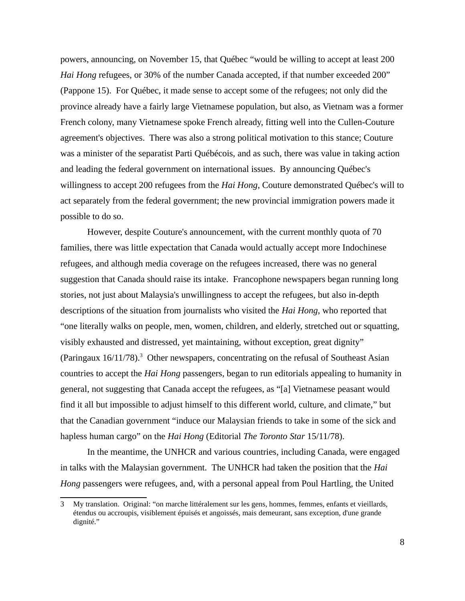powers, announcing, on November 15, that Québec "would be willing to accept at least 200 *Hai Hong* refugees, or 30% of the number Canada accepted, if that number exceeded 200" (Pappone 15). For Québec, it made sense to accept some of the refugees; not only did the province already have a fairly large Vietnamese population, but also, as Vietnam was a former French colony, many Vietnamese spoke French already, fitting well into the Cullen-Couture agreement's objectives. There was also a strong political motivation to this stance; Couture was a minister of the separatist Parti Québécois, and as such, there was value in taking action and leading the federal government on international issues. By announcing Québec's willingness to accept 200 refugees from the *Hai Hong*, Couture demonstrated Québec's will to act separately from the federal government; the new provincial immigration powers made it possible to do so.

However, despite Couture's announcement, with the current monthly quota of 70 families, there was little expectation that Canada would actually accept more Indochinese refugees, and although media coverage on the refugees increased, there was no general suggestion that Canada should raise its intake. Francophone newspapers began running long stories, not just about Malaysia's unwillingness to accept the refugees, but also in-depth descriptions of the situation from journalists who visited the *Hai Hong*, who reported that "one literally walks on people, men, women, children, and elderly, stretched out or squatting, visibly exhausted and distressed, yet maintaining, without exception, great dignity" (Paringaux  $16/11/78$ ).<sup>[3](#page-7-0)</sup> Other newspapers, concentrating on the refusal of Southeast Asian countries to accept the *Hai Hong* passengers, began to run editorials appealing to humanity in general, not suggesting that Canada accept the refugees, as "[a] Vietnamese peasant would find it all but impossible to adjust himself to this different world, culture, and climate," but that the Canadian government "induce our Malaysian friends to take in some of the sick and hapless human cargo" on the *Hai Hong* (Editorial *The Toronto Star* 15/11/78).

In the meantime, the UNHCR and various countries, including Canada, were engaged in talks with the Malaysian government. The UNHCR had taken the position that the *Hai Hong* passengers were refugees, and, with a personal appeal from Poul Hartling, the United

<span id="page-7-0"></span><sup>3</sup> My translation. Original: "on marche littéralement sur les gens, hommes, femmes, enfants et vieillards, étendus ou accroupis, visiblement épuisés et angoissés, mais demeurant, sans exception, d'une grande dignité."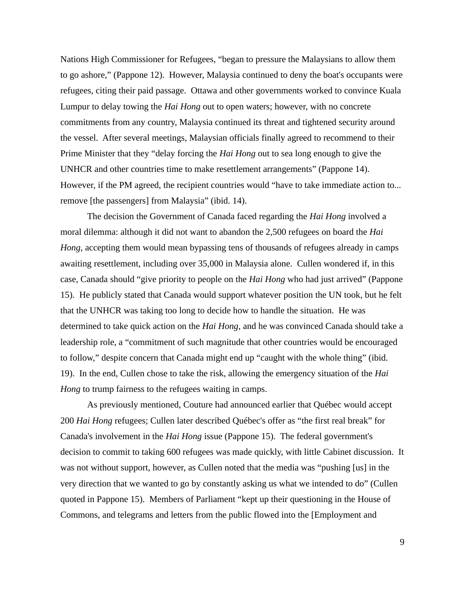Nations High Commissioner for Refugees, "began to pressure the Malaysians to allow them to go ashore," (Pappone 12). However, Malaysia continued to deny the boat's occupants were refugees, citing their paid passage. Ottawa and other governments worked to convince Kuala Lumpur to delay towing the *Hai Hong* out to open waters; however, with no concrete commitments from any country, Malaysia continued its threat and tightened security around the vessel. After several meetings, Malaysian officials finally agreed to recommend to their Prime Minister that they "delay forcing the *Hai Hong* out to sea long enough to give the UNHCR and other countries time to make resettlement arrangements" (Pappone 14). However, if the PM agreed, the recipient countries would "have to take immediate action to... remove [the passengers] from Malaysia" (ibid. 14).

The decision the Government of Canada faced regarding the *Hai Hong* involved a moral dilemma: although it did not want to abandon the 2,500 refugees on board the *Hai Hong*, accepting them would mean bypassing tens of thousands of refugees already in camps awaiting resettlement, including over 35,000 in Malaysia alone. Cullen wondered if, in this case, Canada should "give priority to people on the *Hai Hong* who had just arrived" (Pappone 15). He publicly stated that Canada would support whatever position the UN took, but he felt that the UNHCR was taking too long to decide how to handle the situation. He was determined to take quick action on the *Hai Hong*, and he was convinced Canada should take a leadership role, a "commitment of such magnitude that other countries would be encouraged to follow," despite concern that Canada might end up "caught with the whole thing" (ibid. 19). In the end, Cullen chose to take the risk, allowing the emergency situation of the *Hai Hong* to trump fairness to the refugees waiting in camps.

As previously mentioned, Couture had announced earlier that Québec would accept 200 *Hai Hong* refugees; Cullen later described Québec's offer as "the first real break" for Canada's involvement in the *Hai Hong* issue (Pappone 15). The federal government's decision to commit to taking 600 refugees was made quickly, with little Cabinet discussion. It was not without support, however, as Cullen noted that the media was "pushing [us] in the very direction that we wanted to go by constantly asking us what we intended to do" (Cullen quoted in Pappone 15). Members of Parliament "kept up their questioning in the House of Commons, and telegrams and letters from the public flowed into the [Employment and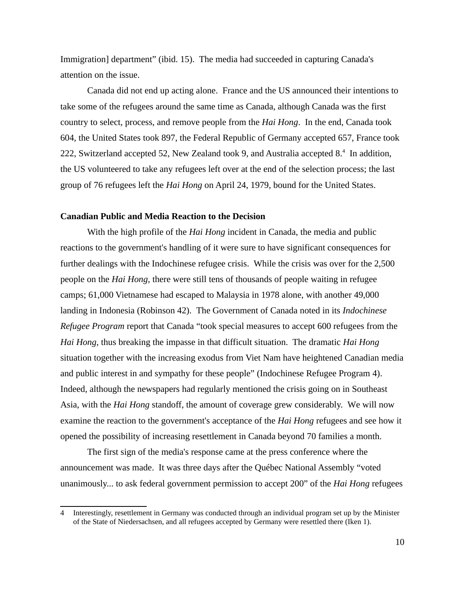Immigration] department" (ibid. 15). The media had succeeded in capturing Canada's attention on the issue.

Canada did not end up acting alone. France and the US announced their intentions to take some of the refugees around the same time as Canada, although Canada was the first country to select, process, and remove people from the *Hai Hong*. In the end, Canada took 604, the United States took 897, the Federal Republic of Germany accepted 657, France took 222, Switzerland accepted 52, New Zealand took 9, and Australia accepted 8.<sup>[4](#page-9-0)</sup> In addition, the US volunteered to take any refugees left over at the end of the selection process; the last group of 76 refugees left the *Hai Hong* on April 24, 1979, bound for the United States.

#### **Canadian Public and Media Reaction to the Decision**

With the high profile of the *Hai Hong* incident in Canada, the media and public reactions to the government's handling of it were sure to have significant consequences for further dealings with the Indochinese refugee crisis. While the crisis was over for the 2,500 people on the *Hai Hong*, there were still tens of thousands of people waiting in refugee camps; 61,000 Vietnamese had escaped to Malaysia in 1978 alone, with another 49,000 landing in Indonesia (Robinson 42). The Government of Canada noted in its *Indochinese Refugee Program* report that Canada "took special measures to accept 600 refugees from the *Hai Hong*, thus breaking the impasse in that difficult situation. The dramatic *Hai Hong* situation together with the increasing exodus from Viet Nam have heightened Canadian media and public interest in and sympathy for these people" (Indochinese Refugee Program 4). Indeed, although the newspapers had regularly mentioned the crisis going on in Southeast Asia, with the *Hai Hong* standoff, the amount of coverage grew considerably. We will now examine the reaction to the government's acceptance of the *Hai Hong* refugees and see how it opened the possibility of increasing resettlement in Canada beyond 70 families a month.

The first sign of the media's response came at the press conference where the announcement was made. It was three days after the Québec National Assembly "voted unanimously... to ask federal government permission to accept 200" of the *Hai Hong* refugees

<span id="page-9-0"></span><sup>4</sup> Interestingly, resettlement in Germany was conducted through an individual program set up by the Minister of the State of Niedersachsen, and all refugees accepted by Germany were resettled there (Iken 1).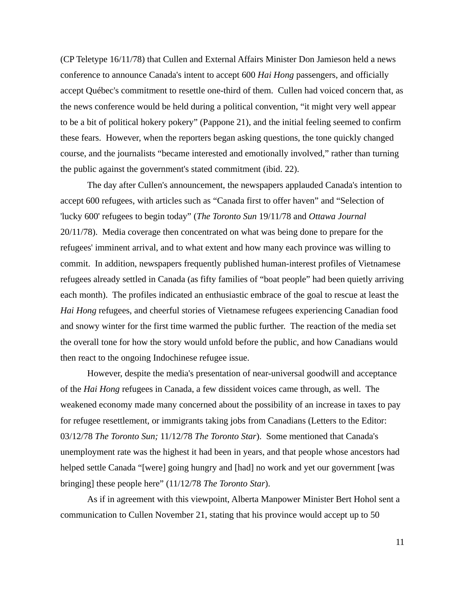(CP Teletype 16/11/78) that Cullen and External Affairs Minister Don Jamieson held a news conference to announce Canada's intent to accept 600 *Hai Hong* passengers, and officially accept Québec's commitment to resettle one-third of them. Cullen had voiced concern that, as the news conference would be held during a political convention, "it might very well appear to be a bit of political hokery pokery" (Pappone 21), and the initial feeling seemed to confirm these fears. However, when the reporters began asking questions, the tone quickly changed course, and the journalists "became interested and emotionally involved," rather than turning the public against the government's stated commitment (ibid. 22).

The day after Cullen's announcement, the newspapers applauded Canada's intention to accept 600 refugees, with articles such as "Canada first to offer haven" and "Selection of 'lucky 600' refugees to begin today" (*The Toronto Sun* 19/11/78 and *Ottawa Journal* 20/11/78). Media coverage then concentrated on what was being done to prepare for the refugees' imminent arrival, and to what extent and how many each province was willing to commit. In addition, newspapers frequently published human-interest profiles of Vietnamese refugees already settled in Canada (as fifty families of "boat people" had been quietly arriving each month). The profiles indicated an enthusiastic embrace of the goal to rescue at least the *Hai Hong* refugees, and cheerful stories of Vietnamese refugees experiencing Canadian food and snowy winter for the first time warmed the public further. The reaction of the media set the overall tone for how the story would unfold before the public, and how Canadians would then react to the ongoing Indochinese refugee issue.

However, despite the media's presentation of near-universal goodwill and acceptance of the *Hai Hong* refugees in Canada, a few dissident voices came through, as well. The weakened economy made many concerned about the possibility of an increase in taxes to pay for refugee resettlement, or immigrants taking jobs from Canadians (Letters to the Editor: 03/12/78 *The Toronto Sun;* 11/12/78 *The Toronto Star*). Some mentioned that Canada's unemployment rate was the highest it had been in years, and that people whose ancestors had helped settle Canada "[were] going hungry and [had] no work and yet our government [was bringing] these people here" (11/12/78 *The Toronto Star*).

As if in agreement with this viewpoint, Alberta Manpower Minister Bert Hohol sent a communication to Cullen November 21, stating that his province would accept up to 50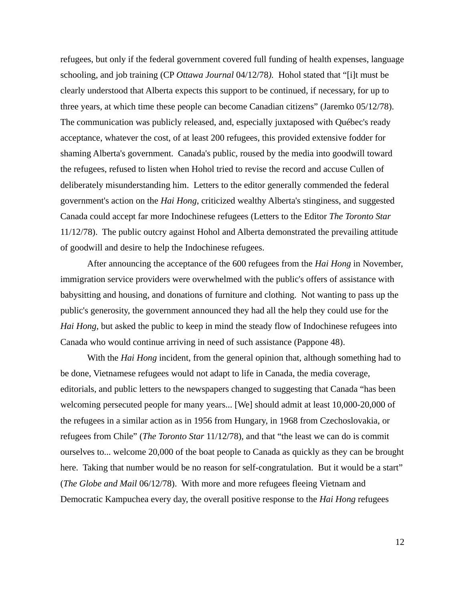refugees, but only if the federal government covered full funding of health expenses, language schooling, and job training (CP *Ottawa Journal* 04/12/78*).* Hohol stated that "[i]t must be clearly understood that Alberta expects this support to be continued, if necessary, for up to three years, at which time these people can become Canadian citizens" (Jaremko 05/12/78). The communication was publicly released, and, especially juxtaposed with Québec's ready acceptance, whatever the cost, of at least 200 refugees, this provided extensive fodder for shaming Alberta's government. Canada's public, roused by the media into goodwill toward the refugees, refused to listen when Hohol tried to revise the record and accuse Cullen of deliberately misunderstanding him. Letters to the editor generally commended the federal government's action on the *Hai Hong*, criticized wealthy Alberta's stinginess, and suggested Canada could accept far more Indochinese refugees (Letters to the Editor *The Toronto Star*  11/12/78). The public outcry against Hohol and Alberta demonstrated the prevailing attitude of goodwill and desire to help the Indochinese refugees.

After announcing the acceptance of the 600 refugees from the *Hai Hong* in November, immigration service providers were overwhelmed with the public's offers of assistance with babysitting and housing, and donations of furniture and clothing. Not wanting to pass up the public's generosity, the government announced they had all the help they could use for the *Hai Hong*, but asked the public to keep in mind the steady flow of Indochinese refugees into Canada who would continue arriving in need of such assistance (Pappone 48).

With the *Hai Hong* incident, from the general opinion that, although something had to be done, Vietnamese refugees would not adapt to life in Canada, the media coverage, editorials, and public letters to the newspapers changed to suggesting that Canada "has been welcoming persecuted people for many years... [We] should admit at least 10,000-20,000 of the refugees in a similar action as in 1956 from Hungary, in 1968 from Czechoslovakia, or refugees from Chile" (*The Toronto Star* 11/12/78), and that "the least we can do is commit ourselves to... welcome 20,000 of the boat people to Canada as quickly as they can be brought here. Taking that number would be no reason for self-congratulation. But it would be a start" (*The Globe and Mail* 06/12/78). With more and more refugees fleeing Vietnam and Democratic Kampuchea every day, the overall positive response to the *Hai Hong* refugees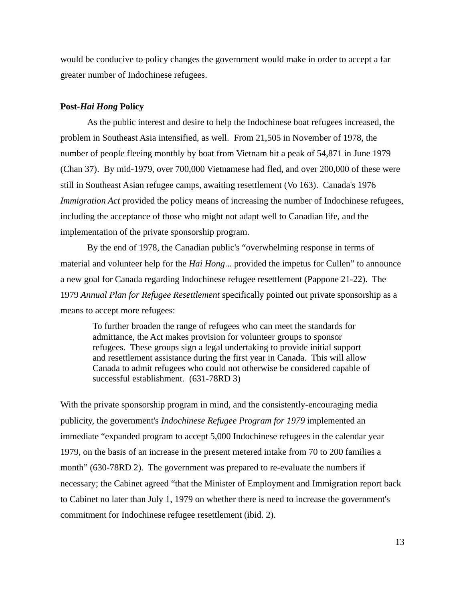would be conducive to policy changes the government would make in order to accept a far greater number of Indochinese refugees.

### **Post-***Hai Hong* **Policy**

As the public interest and desire to help the Indochinese boat refugees increased, the problem in Southeast Asia intensified, as well. From 21,505 in November of 1978, the number of people fleeing monthly by boat from Vietnam hit a peak of 54,871 in June 1979 (Chan 37). By mid-1979, over 700,000 Vietnamese had fled, and over 200,000 of these were still in Southeast Asian refugee camps, awaiting resettlement (Vo 163). Canada's 1976 *Immigration Act* provided the policy means of increasing the number of Indochinese refugees, including the acceptance of those who might not adapt well to Canadian life, and the implementation of the private sponsorship program.

By the end of 1978, the Canadian public's "overwhelming response in terms of material and volunteer help for the *Hai Hong*... provided the impetus for Cullen" to announce a new goal for Canada regarding Indochinese refugee resettlement (Pappone 21-22). The 1979 *Annual Plan for Refugee Resettlement* specifically pointed out private sponsorship as a means to accept more refugees:

To further broaden the range of refugees who can meet the standards for admittance, the Act makes provision for volunteer groups to sponsor refugees. These groups sign a legal undertaking to provide initial support and resettlement assistance during the first year in Canada. This will allow Canada to admit refugees who could not otherwise be considered capable of successful establishment. (631-78RD 3)

With the private sponsorship program in mind, and the consistently-encouraging media publicity, the government's *Indochinese Refugee Program for 1979* implemented an immediate "expanded program to accept 5,000 Indochinese refugees in the calendar year 1979, on the basis of an increase in the present metered intake from 70 to 200 families a month" (630-78RD 2). The government was prepared to re-evaluate the numbers if necessary; the Cabinet agreed "that the Minister of Employment and Immigration report back to Cabinet no later than July 1, 1979 on whether there is need to increase the government's commitment for Indochinese refugee resettlement (ibid. 2).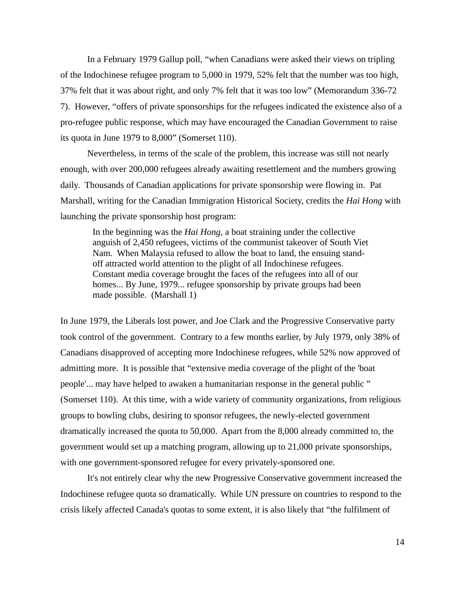In a February 1979 Gallup poll, "when Canadians were asked their views on tripling of the Indochinese refugee program to 5,000 in 1979, 52% felt that the number was too high, 37% felt that it was about right, and only 7% felt that it was too low" (Memorandum 336-72 7). However, "offers of private sponsorships for the refugees indicated the existence also of a pro-refugee public response, which may have encouraged the Canadian Government to raise its quota in June 1979 to 8,000" (Somerset 110).

Nevertheless, in terms of the scale of the problem, this increase was still not nearly enough, with over 200,000 refugees already awaiting resettlement and the numbers growing daily. Thousands of Canadian applications for private sponsorship were flowing in. Pat Marshall, writing for the Canadian Immigration Historical Society, credits the *Hai Hong* with launching the private sponsorship host program:

In the beginning was the *Hai Hong*, a boat straining under the collective anguish of 2,450 refugees, victims of the communist takeover of South Viet Nam. When Malaysia refused to allow the boat to land, the ensuing standoff attracted world attention to the plight of all Indochinese refugees. Constant media coverage brought the faces of the refugees into all of our homes... By June, 1979... refugee sponsorship by private groups had been made possible. (Marshall 1)

In June 1979, the Liberals lost power, and Joe Clark and the Progressive Conservative party took control of the government. Contrary to a few months earlier, by July 1979, only 38% of Canadians disapproved of accepting more Indochinese refugees, while 52% now approved of admitting more. It is possible that "extensive media coverage of the plight of the 'boat people'... may have helped to awaken a humanitarian response in the general public " (Somerset 110). At this time, with a wide variety of community organizations, from religious groups to bowling clubs, desiring to sponsor refugees, the newly-elected government dramatically increased the quota to 50,000. Apart from the 8,000 already committed to, the government would set up a matching program, allowing up to 21,000 private sponsorships, with one government-sponsored refugee for every privately-sponsored one.

It's not entirely clear why the new Progressive Conservative government increased the Indochinese refugee quota so dramatically. While UN pressure on countries to respond to the crisis likely affected Canada's quotas to some extent, it is also likely that "the fulfilment of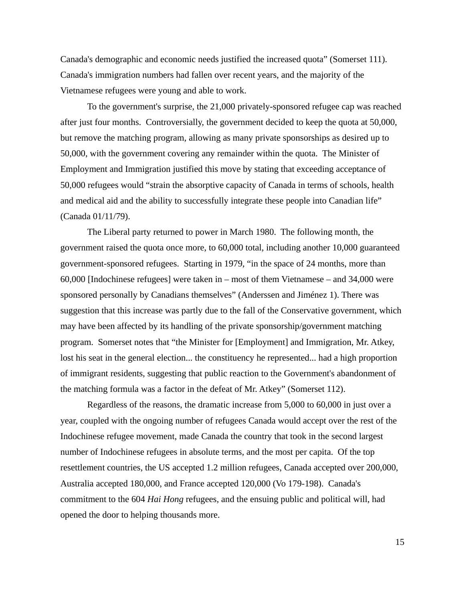Canada's demographic and economic needs justified the increased quota" (Somerset 111). Canada's immigration numbers had fallen over recent years, and the majority of the Vietnamese refugees were young and able to work.

To the government's surprise, the 21,000 privately-sponsored refugee cap was reached after just four months. Controversially, the government decided to keep the quota at 50,000, but remove the matching program, allowing as many private sponsorships as desired up to 50,000, with the government covering any remainder within the quota. The Minister of Employment and Immigration justified this move by stating that exceeding acceptance of 50,000 refugees would "strain the absorptive capacity of Canada in terms of schools, health and medical aid and the ability to successfully integrate these people into Canadian life" (Canada 01/11/79).

The Liberal party returned to power in March 1980. The following month, the government raised the quota once more, to 60,000 total, including another 10,000 guaranteed government-sponsored refugees. Starting in 1979, "in the space of 24 months, more than 60,000 [Indochinese refugees] were taken in – most of them Vietnamese – and 34,000 were sponsored personally by Canadians themselves" (Anderssen and Jiménez 1). There was suggestion that this increase was partly due to the fall of the Conservative government, which may have been affected by its handling of the private sponsorship/government matching program. Somerset notes that "the Minister for [Employment] and Immigration, Mr. Atkey, lost his seat in the general election... the constituency he represented... had a high proportion of immigrant residents, suggesting that public reaction to the Government's abandonment of the matching formula was a factor in the defeat of Mr. Atkey" (Somerset 112).

Regardless of the reasons, the dramatic increase from 5,000 to 60,000 in just over a year, coupled with the ongoing number of refugees Canada would accept over the rest of the Indochinese refugee movement, made Canada the country that took in the second largest number of Indochinese refugees in absolute terms, and the most per capita. Of the top resettlement countries, the US accepted 1.2 million refugees, Canada accepted over 200,000, Australia accepted 180,000, and France accepted 120,000 (Vo 179-198). Canada's commitment to the 604 *Hai Hong* refugees, and the ensuing public and political will, had opened the door to helping thousands more.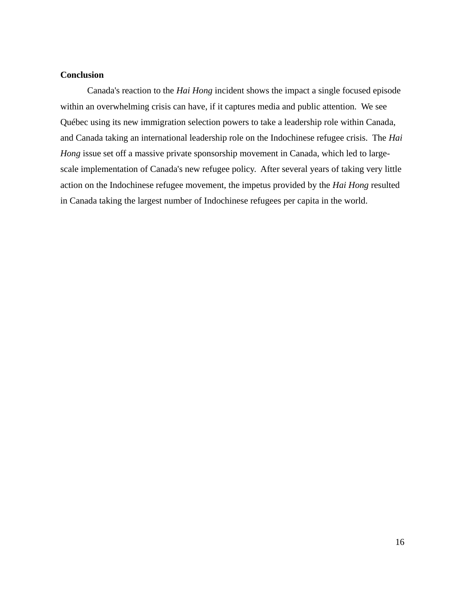## **Conclusion**

Canada's reaction to the *Hai Hong* incident shows the impact a single focused episode within an overwhelming crisis can have, if it captures media and public attention. We see Québec using its new immigration selection powers to take a leadership role within Canada, and Canada taking an international leadership role on the Indochinese refugee crisis. The *Hai Hong* issue set off a massive private sponsorship movement in Canada, which led to largescale implementation of Canada's new refugee policy. After several years of taking very little action on the Indochinese refugee movement, the impetus provided by the *Hai Hong* resulted in Canada taking the largest number of Indochinese refugees per capita in the world.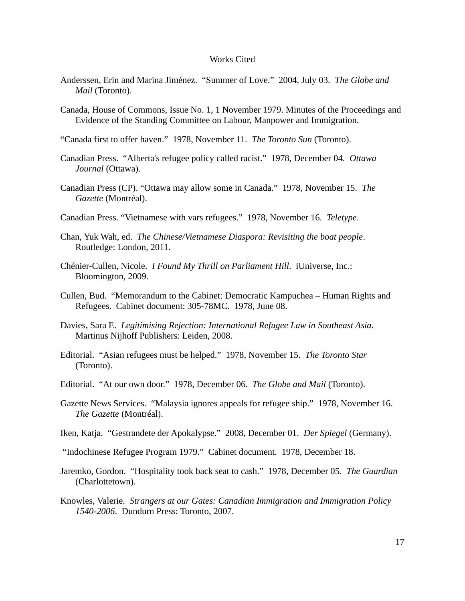#### Works Cited

- Anderssen, Erin and Marina Jiménez. "Summer of Love." 2004, July 03. *The Globe and Mail* (Toronto).
- Canada, House of Commons, Issue No. 1, 1 November 1979. Minutes of the Proceedings and Evidence of the Standing Committee on Labour, Manpower and Immigration.
- "Canada first to offer haven." 1978, November 11. *The Toronto Sun* (Toronto).
- Canadian Press. "Alberta's refugee policy called racist." 1978, December 04. *Ottawa Journal* (Ottawa).
- Canadian Press (CP). "Ottawa may allow some in Canada." 1978, November 15. *The Gazette* (Montréal).
- Canadian Press. "Vietnamese with vars refugees." 1978, November 16. *Teletype*.
- Chan, Yuk Wah, ed. *The Chinese/Vietnamese Diaspora: Revisiting the boat people*. Routledge: London, 2011.
- Chénier-Cullen, Nicole. *I Found My Thrill on Parliament Hill*. iUniverse, Inc.: Bloomington, 2009.
- Cullen, Bud. "Memorandum to the Cabinet: Democratic Kampuchea Human Rights and Refugees. Cabinet document: 305-78MC. 1978, June 08.
- Davies, Sara E. *Legitimising Rejection: International Refugee Law in Southeast Asia.* Martinus Nijhoff Publishers: Leiden, 2008.
- Editorial. "Asian refugees must be helped." 1978, November 15. *The Toronto Star*  (Toronto).
- Editorial. "At our own door." 1978, December 06. *The Globe and Mail* (Toronto).
- Gazette News Services. "Malaysia ignores appeals for refugee ship." 1978, November 16. *The Gazette* (Montréal).
- Iken, Katja. "Gestrandete der Apokalypse." 2008, December 01. *Der Spiegel* (Germany).
- "Indochinese Refugee Program 1979." Cabinet document. 1978, December 18.
- Jaremko, Gordon. "Hospitality took back seat to cash." 1978, December 05. *The Guardian* (Charlottetown).
- Knowles, Valerie. *Strangers at our Gates: Canadian Immigration and Immigration Policy 1540-2006*. Dundurn Press: Toronto, 2007.